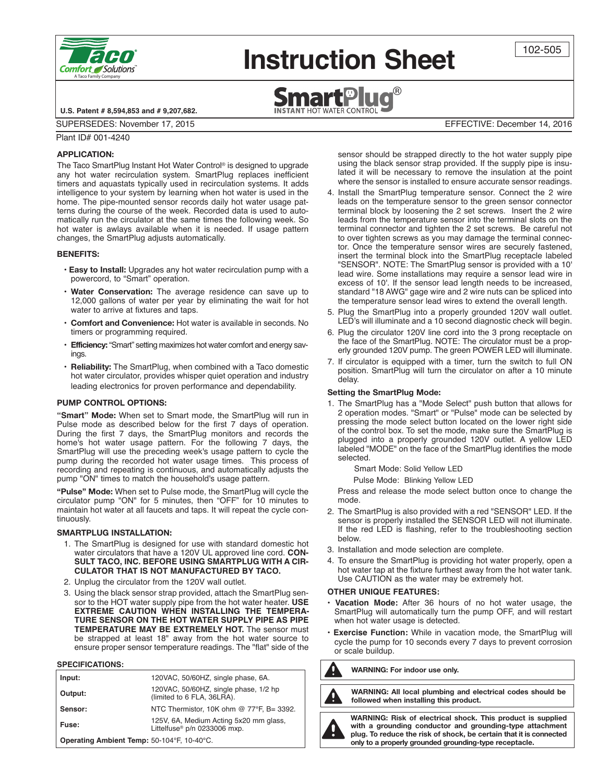

# **Instruction Sheet**



102-505

**U.S. Patent # 8,594,853 and # 9,207,682.**

SUPERSEDES: November 17, 2015 EFFECTIVE: December 14, 2016

Plant ID# 001-4240

# **applicaTion:**

The Taco SmartPlug Instant Hot Water Control ® is designed to upgrade any hot water recirculation system. SmartPlug replaces inefficient timers and aquastats typically used in recirculation systems. It adds intelligence to your system by learning when hot water is used in the home. The pipe-mounted sensor records daily hot water usage patterns during the course of the week. Recorded data is used to automatically run the circulator at the same times the following week. So hot water is awlays available when it is needed. If usage pattern changes, the SmartPlug adjusts automatically.

### **BenefiTs:**

- **• easy to install:** Upgrades any hot water recirculation pump with a powercord, to "Smart" operation.
- **Water conservation:** The average residence can save up to 12,000 gallons of water per year by eliminating the wait for hot water to arrive at fixtures and taps.
- **comfort and convenience:** Hot water is available in seconds. No timers or programming required.
- **efficiency:**"Smart" setting maximizes hot water comfort and energy savings.
- Reliability: The SmartPlug, when combined with a Taco domestic hot water circulator, provides whisper quiet operation and industry leading electronics for proven performance and dependability.

### **pUMp conTrol opTions:**

**"Smart" Mode:** When set to Smart mode, the SmartPlug will run in Pulse mode as described below for the first 7 days of operation. During the first 7 days, the SmartPlug monitors and records the home's hot water usage pattern. For the following 7 days, the SmartPlug will use the preceding week's usage pattern to cycle the pump during the recorded hot water usage times. This process of recording and repeating is continuous, and automatically adjusts the pump "ON" times to match the household's usage pattern.

**"pulse" Mode:** When set to Pulse mode, the SmartPlug will cycle the circulator pump "ON" for 5 minutes, then "OFF" for 10 minutes to maintain hot water at all faucets and taps. It will repeat the cycle continuously.

# **sMarTplUg insTallaTion:**

- 1. The SmartPlug is designed for use with standard domestic hot water circulators that have a 120V UL approved line cord. **CON-SULT TACO, INC. BEFORE USING SMARTPLUG WITH A CIR-CULATOR THAT IS NOT MANUFACTURED BY TACO.**
- 2. Unplug the circulator from the 120V wall outlet.
- 3. Using the black sensor strap provided, attach the SmartPlug sensor to the HOT water supply pipe from the hot water heater. **USE EXTREME CAUTION WHEN INSTALLING THE TEMPERA-TURE SENSOR ON THE HOT WATER SUPPLY PIPE AS PIPE TEMPERATURE MAY BE EXTREMELY HOT.** The sensor must be strapped at least 18" away from the hot water source to ensure proper sensor temperature readings. The "flat" side of the

#### **SPECIFICATIONS:**

| Input:                                     | 120VAC, 50/60HZ, single phase, 6A.                                                 |
|--------------------------------------------|------------------------------------------------------------------------------------|
| Output:                                    | 120VAC, 50/60HZ, single phase, 1/2 hp<br>(limited to 6 FLA, 36LRA).                |
| Sensor:                                    | NTC Thermistor, 10K ohm @ 77°F, B= 3392.                                           |
| Fuse:                                      | 125V, 6A, Medium Acting 5x20 mm glass,<br>Littelfuse <sup>®</sup> p/n 0233006 mxp. |
| Operating Ambient Temp: 50-104°F, 10-40°C. |                                                                                    |

sensor should be strapped directly to the hot water supply pipe using the black sensor strap provided. If the supply pipe is insulated it will be necessary to remove the insulation at the point where the sensor is installed to ensure accurate sensor readings.

- 4. Install the SmartPlug temperature sensor. Connect the 2 wire leads on the temperature sensor to the green sensor connector terminal block by loosening the 2 set screws. Insert the 2 wire leads from the temperature sensor into the terminal slots on the terminal connector and tighten the 2 set screws. Be careful not to over tighten screws as you may damage the terminal connector. Once the temperature sensor wires are securely fastened, insert the terminal block into the SmartPlug receptacle labeled "SENSOR". NOTE: The SmartPlug sensor is provided with a 10' lead wire. Some installations may require a sensor lead wire in excess of 10'. If the sensor lead length needs to be increased, standard "18 AWG" gage wire and 2 wire nuts can be spliced into the temperature sensor lead wires to extend the overall length.
- 5. Plug the SmartPlug into a properly grounded 120V wall outlet. LED's will illuminate and a 10 second diagnostic check will begin.
- 6. Plug the circulator 120V line cord into the 3 prong receptacle on the face of the SmartPlug. NOTE: The circulator must be a properly grounded 120V pump. The green POWER LED will illuminate.
- 7. If circulator is equipped with a timer, turn the switch to full ON position. SmartPlug will turn the circulator on after a 10 minute delay.

#### **setting the smartplug Mode:**

1. The SmartPlug has a "Mode Select" push button that allows for 2 operation modes. "Smart" or "Pulse" mode can be selected by pressing the mode select button located on the lower right side of the control box. To set the mode, make sure the SmartPlug is plugged into a properly grounded 120V outlet. A yellow LED labeled "MODE" on the face of the SmartPlug identifies the mode selected.

Smart Mode: Solid Yellow LED

Pulse Mode: Blinking Yellow LED

Press and release the mode select button once to change the mode.

- 2. The SmartPlug is also provided with a red "SENSOR" LED. If the sensor is properly installed the SENSOR LED will not illuminate. If the red LED is flashing, refer to the troubleshooting section below.
- 3. Installation and mode selection are complete.
- 4. To ensure the SmartPlug is providing hot water properly, open a hot water tap at the fixture furthest away from the hot water tank. Use CAUTION as the water may be extremely hot.

#### **OTHER UNIQUE FEATURES:**

- **• Vacation Mode:** After 36 hours of no hot water usage, the SmartPlug will automatically turn the pump OFF, and will restart when hot water usage is detected.
- **• Exercise Function:** While in vacation mode, the SmartPlug will cycle the pump for 10 seconds every 7 days to prevent corrosion or scale buildup.

**Warning: for indoor use only.**



**Warning: all local plumbing and electrical codes should be followed when installing this product.**

**Warning: risk of electrical shock. This product is supplied with a grounding conductor and grounding-type attachment plug. To reduce the risk of shock, be certain that it is connected only to a properly grounded grounding-type receptacle.**